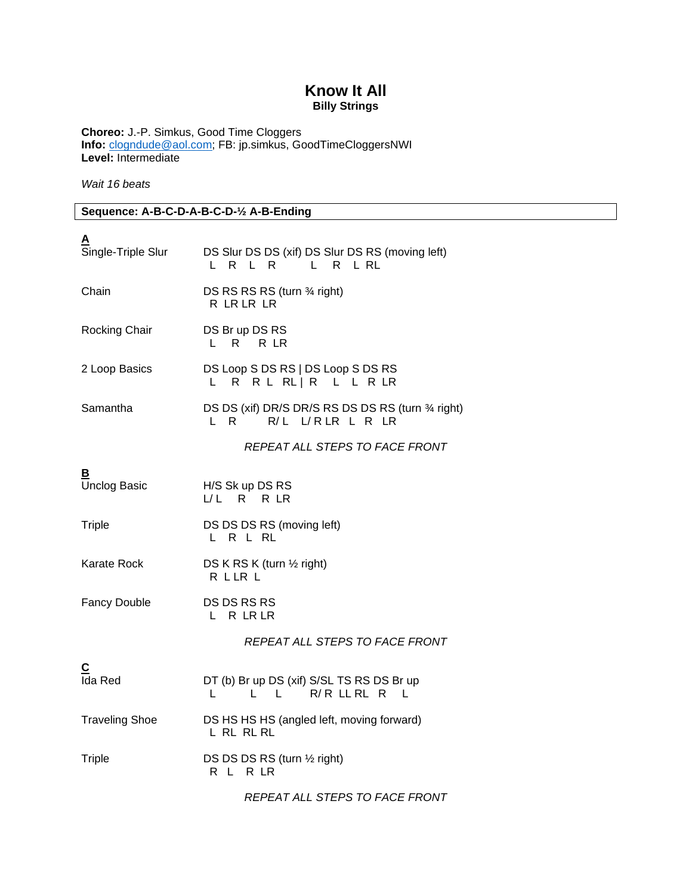## **Know It All Billy Strings**

**Choreo:** J.-P. Simkus, Good Time Cloggers **Info:** [clogndude@aol.com;](mailto:clogndude@aol.com) FB: jp.simkus, GoodTimeCloggersNWI **Level:** Intermediate

*Wait 16 beats*

**Sequence: A-B-C-D-A-B-C-D-½ A-B-Ending**

| A<br>Single-Triple Slur   | DS Slur DS DS (xif) DS Slur DS RS (moving left)<br>L R L RL<br>L R L R              |
|---------------------------|-------------------------------------------------------------------------------------|
| Chain                     | DS RS RS RS (turn 3⁄4 right)<br>R LR LR LR                                          |
| Rocking Chair             | DS Br up DS RS<br>L R R LR                                                          |
| 2 Loop Basics             | DS Loop S DS RS   DS Loop S DS RS<br>L.<br>R R L R L   R L L R L R L                |
| Samantha                  | DS DS (xif) DR/S DR/S RS DS DS RS (turn 34 right)<br>L R R/L L/RLR L R LR           |
|                           | REPEAT ALL STEPS TO FACE FRONT                                                      |
| В<br><b>Unclog Basic</b>  | H/S Sk up DS RS<br>L/L R R LR                                                       |
| <b>Triple</b>             | DS DS DS RS (moving left)<br>LRLRL                                                  |
| Karate Rock               | DS K RS K (turn $\frac{1}{2}$ right)<br>R L LR L                                    |
| <b>Fancy Double</b>       | DS DS RS RS<br>L R LR LR                                                            |
|                           | REPEAT ALL STEPS TO FACE FRONT                                                      |
| $\overline{c}$<br>Ida Red | DT (b) Br up DS (xif) S/SL TS RS DS Br up<br>L L R/R LL RL R<br>$\mathsf{L}$<br>- L |
| <b>Traveling Shoe</b>     | DS HS HS HS (angled left, moving forward)<br>L RL RL RL                             |
| <b>Triple</b>             | DS DS DS RS (turn 1/2 right)<br>R L R LR                                            |
|                           | REPEAT ALL STEPS TO FACE FRONT                                                      |